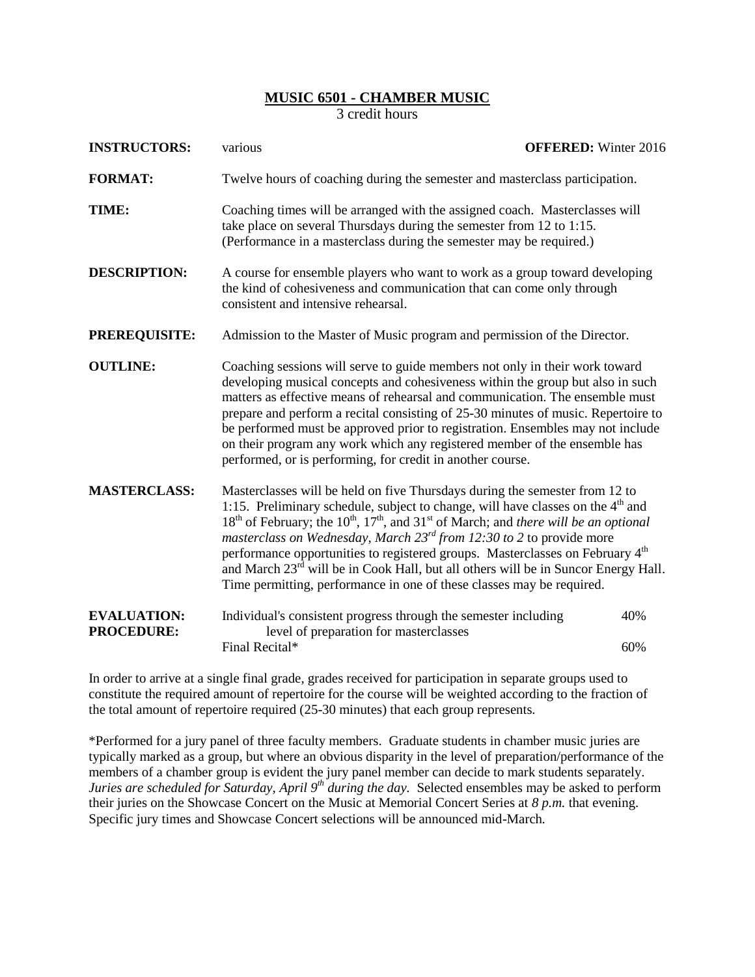## **MUSIC 6501 - CHAMBER MUSIC**

3 credit hours

| <b>INSTRUCTORS:</b>                     | <b>OFFERED:</b> Winter 2016<br>various                                                                                                                                                                                                                                                                                                                                                                                                                                                                                                                                                                                                                                         |            |  |
|-----------------------------------------|--------------------------------------------------------------------------------------------------------------------------------------------------------------------------------------------------------------------------------------------------------------------------------------------------------------------------------------------------------------------------------------------------------------------------------------------------------------------------------------------------------------------------------------------------------------------------------------------------------------------------------------------------------------------------------|------------|--|
| <b>FORMAT:</b>                          | Twelve hours of coaching during the semester and masterclass participation.                                                                                                                                                                                                                                                                                                                                                                                                                                                                                                                                                                                                    |            |  |
| TIME:                                   | Coaching times will be arranged with the assigned coach. Masterclasses will<br>take place on several Thursdays during the semester from 12 to 1:15.<br>(Performance in a masterclass during the semester may be required.)                                                                                                                                                                                                                                                                                                                                                                                                                                                     |            |  |
| <b>DESCRIPTION:</b>                     | A course for ensemble players who want to work as a group toward developing<br>the kind of cohesiveness and communication that can come only through<br>consistent and intensive rehearsal.                                                                                                                                                                                                                                                                                                                                                                                                                                                                                    |            |  |
| <b>PREREQUISITE:</b>                    | Admission to the Master of Music program and permission of the Director.                                                                                                                                                                                                                                                                                                                                                                                                                                                                                                                                                                                                       |            |  |
| <b>OUTLINE:</b>                         | Coaching sessions will serve to guide members not only in their work toward<br>developing musical concepts and cohesiveness within the group but also in such<br>matters as effective means of rehearsal and communication. The ensemble must<br>prepare and perform a recital consisting of 25-30 minutes of music. Repertoire to<br>be performed must be approved prior to registration. Ensembles may not include<br>on their program any work which any registered member of the ensemble has<br>performed, or is performing, for credit in another course.                                                                                                                |            |  |
| <b>MASTERCLASS:</b>                     | Masterclasses will be held on five Thursdays during the semester from 12 to<br>1:15. Preliminary schedule, subject to change, will have classes on the 4 <sup>th</sup> and<br>18 <sup>th</sup> of February; the 10 <sup>th</sup> , 17 <sup>th</sup> , and 31 <sup>st</sup> of March; and <i>there will be an optional</i><br>masterclass on Wednesday, March $23^{rd}$ from 12:30 to 2 to provide more<br>performance opportunities to registered groups. Masterclasses on February 4 <sup>th</sup><br>and March 23 <sup>rd</sup> will be in Cook Hall, but all others will be in Suncor Energy Hall.<br>Time permitting, performance in one of these classes may be required. |            |  |
| <b>EVALUATION:</b><br><b>PROCEDURE:</b> | Individual's consistent progress through the semester including<br>level of preparation for masterclasses<br>Final Recital*                                                                                                                                                                                                                                                                                                                                                                                                                                                                                                                                                    | 40%<br>60% |  |
|                                         |                                                                                                                                                                                                                                                                                                                                                                                                                                                                                                                                                                                                                                                                                |            |  |

In order to arrive at a single final grade, grades received for participation in separate groups used to constitute the required amount of repertoire for the course will be weighted according to the fraction of the total amount of repertoire required (25-30 minutes) that each group represents.

\*Performed for a jury panel of three faculty members. Graduate students in chamber music juries are typically marked as a group, but where an obvious disparity in the level of preparation/performance of the members of a chamber group is evident the jury panel member can decide to mark students separately. *Juries are scheduled for Saturday, April 9<sup>th</sup> during the day.* Selected ensembles may be asked to perform their juries on the Showcase Concert on the Music at Memorial Concert Series at *8 p.m.* that evening. Specific jury times and Showcase Concert selections will be announced mid-March*.*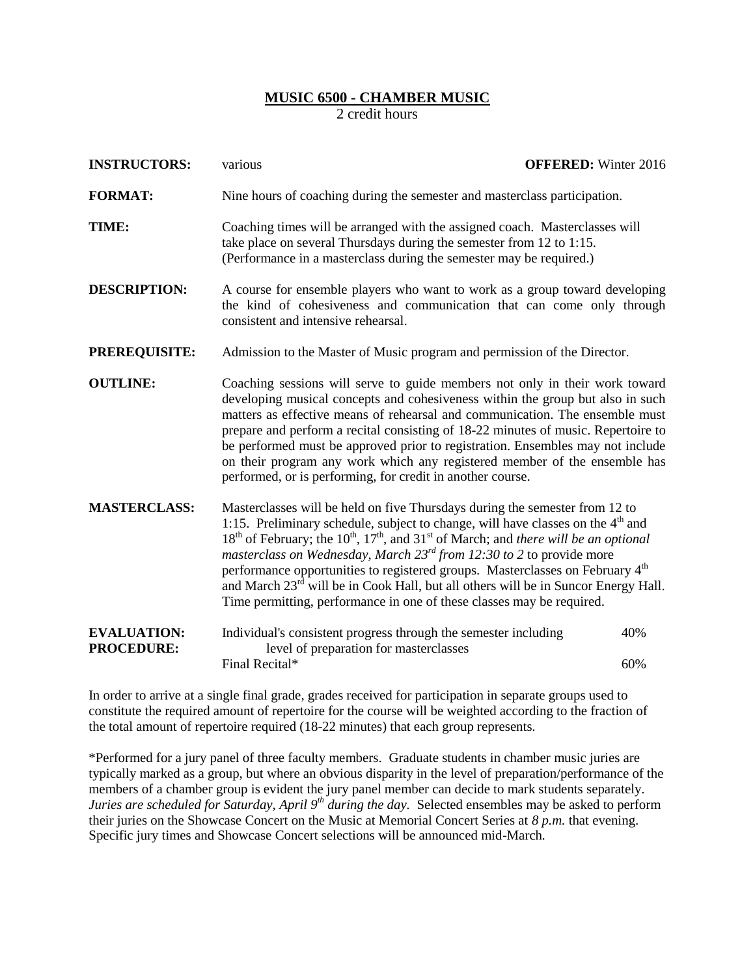## **MUSIC 6500 - CHAMBER MUSIC**

2 credit hours

| <b>INSTRUCTORS:</b>                     | various                                                                                                                                                                                                                                                                                                                                                                                                                                                                                                                                                                                                                                                            | <b>OFFERED:</b> Winter 2016 |  |
|-----------------------------------------|--------------------------------------------------------------------------------------------------------------------------------------------------------------------------------------------------------------------------------------------------------------------------------------------------------------------------------------------------------------------------------------------------------------------------------------------------------------------------------------------------------------------------------------------------------------------------------------------------------------------------------------------------------------------|-----------------------------|--|
| <b>FORMAT:</b>                          | Nine hours of coaching during the semester and masterclass participation.                                                                                                                                                                                                                                                                                                                                                                                                                                                                                                                                                                                          |                             |  |
| TIME:                                   | Coaching times will be arranged with the assigned coach. Masterclasses will<br>take place on several Thursdays during the semester from 12 to 1:15.<br>(Performance in a masterclass during the semester may be required.)                                                                                                                                                                                                                                                                                                                                                                                                                                         |                             |  |
| <b>DESCRIPTION:</b>                     | A course for ensemble players who want to work as a group toward developing<br>the kind of cohesiveness and communication that can come only through<br>consistent and intensive rehearsal.                                                                                                                                                                                                                                                                                                                                                                                                                                                                        |                             |  |
| PREREQUISITE:                           | Admission to the Master of Music program and permission of the Director.                                                                                                                                                                                                                                                                                                                                                                                                                                                                                                                                                                                           |                             |  |
| <b>OUTLINE:</b>                         | Coaching sessions will serve to guide members not only in their work toward<br>developing musical concepts and cohesiveness within the group but also in such<br>matters as effective means of rehearsal and communication. The ensemble must<br>prepare and perform a recital consisting of 18-22 minutes of music. Repertoire to<br>be performed must be approved prior to registration. Ensembles may not include<br>on their program any work which any registered member of the ensemble has<br>performed, or is performing, for credit in another course.                                                                                                    |                             |  |
| <b>MASTERCLASS:</b>                     | Masterclasses will be held on five Thursdays during the semester from 12 to<br>1:15. Preliminary schedule, subject to change, will have classes on the 4 <sup>th</sup> and<br>18 <sup>th</sup> of February; the 10 <sup>th</sup> , 17 <sup>th</sup> , and 31 <sup>st</sup> of March; and there will be an optional<br>masterclass on Wednesday, March 23rd from 12:30 to 2 to provide more<br>performance opportunities to registered groups. Masterclasses on February 4 <sup>th</sup><br>and March 23 <sup>rd</sup> will be in Cook Hall, but all others will be in Suncor Energy Hall.<br>Time permitting, performance in one of these classes may be required. |                             |  |
| <b>EVALUATION:</b><br><b>PROCEDURE:</b> | Individual's consistent progress through the semester including<br>level of preparation for masterclasses<br>Final Recital*                                                                                                                                                                                                                                                                                                                                                                                                                                                                                                                                        | 40%<br>60%                  |  |

In order to arrive at a single final grade, grades received for participation in separate groups used to constitute the required amount of repertoire for the course will be weighted according to the fraction of the total amount of repertoire required (18-22 minutes) that each group represents.

\*Performed for a jury panel of three faculty members. Graduate students in chamber music juries are typically marked as a group, but where an obvious disparity in the level of preparation/performance of the members of a chamber group is evident the jury panel member can decide to mark students separately. *Juries are scheduled for Saturday, April 9<sup>th</sup> during the day.* Selected ensembles may be asked to perform their juries on the Showcase Concert on the Music at Memorial Concert Series at *8 p.m.* that evening. Specific jury times and Showcase Concert selections will be announced mid-March*.*